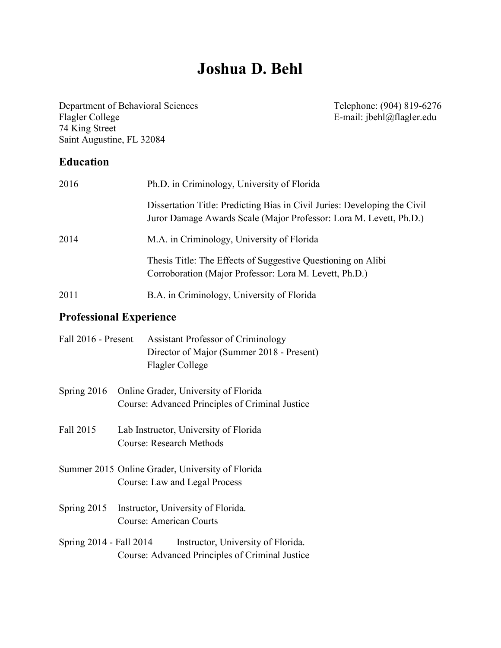# **Joshua D. Behl**

Department of Behavioral Sciences Flagler College<br>74 King Street Saint Augustine, FL 32084

Telephone: (904) 819-6276<br>E-mail: jbehl@flagler.edu

## **Education**

| 2016 | Ph.D. in Criminology, University of Florida                                                                                                     |
|------|-------------------------------------------------------------------------------------------------------------------------------------------------|
|      | Dissertation Title: Predicting Bias in Civil Juries: Developing the Civil<br>Juror Damage Awards Scale (Major Professor: Lora M. Levett, Ph.D.) |
| 2014 | M.A. in Criminology, University of Florida                                                                                                      |
|      | Thesis Title: The Effects of Suggestive Questioning on Alibi<br>Corroboration (Major Professor: Lora M. Levett, Ph.D.)                          |
| 2011 | B.A. in Criminology, University of Florida                                                                                                      |

## **Professional Experience**

| Fall 2016 - Present     | <b>Assistant Professor of Criminology</b><br>Director of Major (Summer 2018 - Present)<br>Flagler College |
|-------------------------|-----------------------------------------------------------------------------------------------------------|
| Spring 2016             | Online Grader, University of Florida<br>Course: Advanced Principles of Criminal Justice                   |
| Fall 2015               | Lab Instructor, University of Florida<br><b>Course: Research Methods</b>                                  |
|                         | Summer 2015 Online Grader, University of Florida<br>Course: Law and Legal Process                         |
| Spring 2015             | Instructor, University of Florida.<br><b>Course: American Courts</b>                                      |
| Spring 2014 - Fall 2014 | Instructor, University of Florida.<br>Course: Advanced Principles of Criminal Justice                     |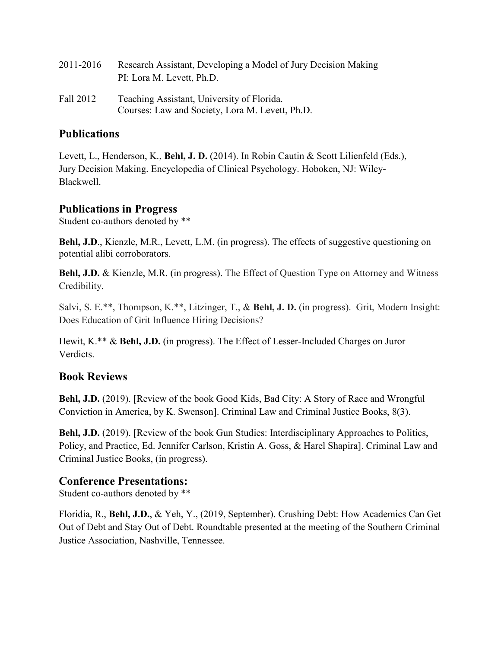| 2011-2016 | Research Assistant, Developing a Model of Jury Decision Making<br>PI: Lora M. Levett, Ph.D. |
|-----------|---------------------------------------------------------------------------------------------|
| Fall 2012 | Teaching Assistant, University of Florida.                                                  |
|           | Courses: Law and Society, Lora M. Levett, Ph.D.                                             |

## **Publications**

Levett, L., Henderson, K., **Behl, J. D.** (2014). In Robin Cautin & Scott Lilienfeld (Eds.), Jury Decision Making. Encyclopedia of Clinical Psychology. Hoboken, NJ: Wiley-Blackwell.

#### **Publications in Progress**

Student co-authors denoted by \*\*

**Behl, J.D**., Kienzle, M.R., Levett, L.M. (in progress). The effects of suggestive questioning on potential alibi corroborators.

**Behl, J.D.** & Kienzle, M.R. (in progress). The Effect of Question Type on Attorney and Witness Credibility.

Salvi, S. E.\*\*, Thompson, K.\*\*, Litzinger, T., & **Behl, J. D.** (in progress). Grit, Modern Insight: Does Education of Grit Influence Hiring Decisions?

Hewit, K.\*\* & **Behl, J.D.** (in progress). The Effect of Lesser-Included Charges on Juror Verdicts.

## **Book Reviews**

**Behl, J.D.** (2019). [Review of the book Good Kids, Bad City: A Story of Race and Wrongful Conviction in America, by K. Swenson]. Criminal Law and Criminal Justice Books, 8(3).

**Behl, J.D.** (2019). [Review of the book Gun Studies: Interdisciplinary Approaches to Politics, Policy, and Practice, Ed. Jennifer Carlson, Kristin A. Goss, & Harel Shapira]. Criminal Law and Criminal Justice Books, (in progress).

## **Conference Presentations:**

Student co-authors denoted by \*\*

Floridia, R., **Behl, J.D.**, & Yeh, Y., (2019, September). Crushing Debt: How Academics Can Get Out of Debt and Stay Out of Debt. Roundtable presented at the meeting of the Southern Criminal Justice Association, Nashville, Tennessee.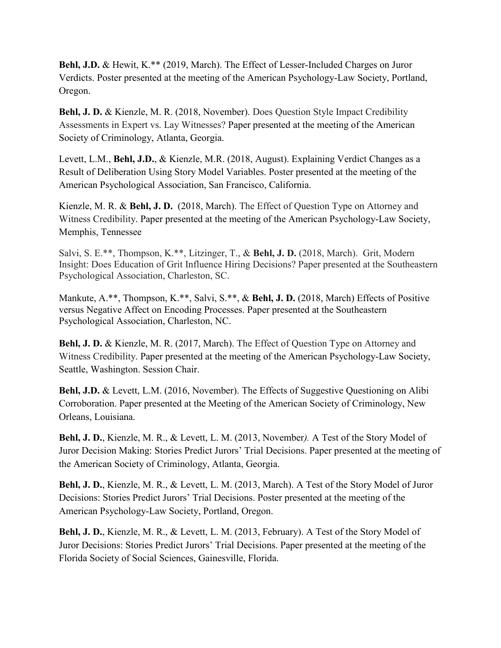**Behl, J.D.** & Hewit, K.\*\* (2019, March). The Effect of Lesser-Included Charges on Juror Verdicts. Poster presented at the meeting of the American Psychology-Law Society, Portland, Oregon.

**Behl, J. D.** & Kienzle, M. R. (2018, November). Does Question Style Impact Credibility Assessments in Expert vs. Lay Witnesses? Paper presented at the meeting of the American Society of Criminology, Atlanta, Georgia.

Levett, L.M., **Behl, J.D.**, & Kienzle, M.R. (2018, August). Explaining Verdict Changes as a Result of Deliberation Using Story Model Variables. Poster presented at the meeting of the American Psychological Association, San Francisco, California.

Kienzle, M. R. & **Behl, J. D.** (2018, March). The Effect of Question Type on Attorney and Witness Credibility. Paper presented at the meeting of the American Psychology-Law Society, Memphis, Tennessee

Salvi, S. E.\*\*, Thompson, K.\*\*, Litzinger, T., & **Behl, J. D.** (2018, March). Grit, Modern Insight: Does Education of Grit Influence Hiring Decisions? Paper presented at the Southeastern Psychological Association, Charleston, SC.

Mankute, A.\*\*, Thompson, K.\*\*, Salvi, S.\*\*, & **Behl, J. D.** (2018, March) Effects of Positive versus Negative Affect on Encoding Processes. Paper presented at the Southeastern Psychological Association, Charleston, NC.

**Behl, J. D.** & Kienzle, M. R. (2017, March). The Effect of Question Type on Attorney and Witness Credibility. Paper presented at the meeting of the American Psychology-Law Society, Seattle, Washington. Session Chair.

**Behl, J.D.** & Levett, L.M. (2016, November). The Effects of Suggestive Questioning on Alibi Corroboration. Paper presented at the Meeting of the American Society of Criminology, New Orleans, Louisiana.

**Behl, J. D.**, Kienzle, M. R., & Levett, L. M. (2013, November*).* A Test of the Story Model of Juror Decision Making: Stories Predict Jurors' Trial Decisions. Paper presented at the meeting of the American Society of Criminology, Atlanta, Georgia.

**Behl, J. D.**, Kienzle, M. R., & Levett, L. M. (2013, March). A Test of the Story Model of Juror Decisions: Stories Predict Jurors' Trial Decisions. Poster presented at the meeting of the American Psychology-Law Society, Portland, Oregon.

**Behl, J. D.**, Kienzle, M. R., & Levett, L. M. (2013, February). A Test of the Story Model of Juror Decisions: Stories Predict Jurors' Trial Decisions. Paper presented at the meeting of the Florida Society of Social Sciences, Gainesville, Florida.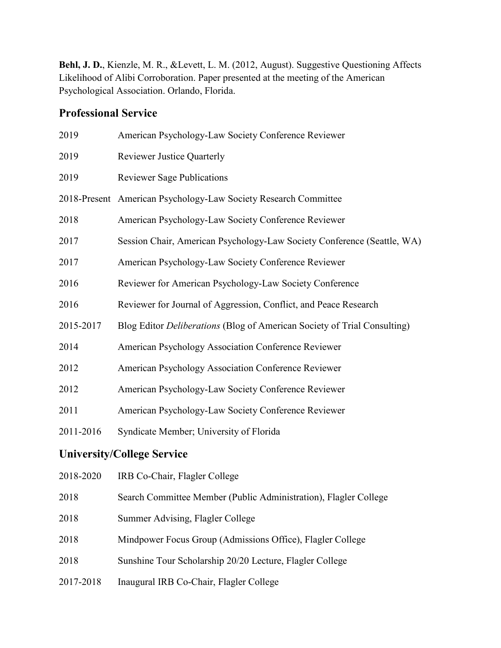**Behl, J. D.**, Kienzle, M. R., &Levett, L. M. (2012, August). Suggestive Questioning Affects Likelihood of Alibi Corroboration. Paper presented at the meeting of the American Psychological Association. Orlando, Florida.

## **Professional Service**

| 2019                              | American Psychology-Law Society Conference Reviewer                      |  |
|-----------------------------------|--------------------------------------------------------------------------|--|
| 2019                              | <b>Reviewer Justice Quarterly</b>                                        |  |
| 2019                              | <b>Reviewer Sage Publications</b>                                        |  |
|                                   | 2018-Present American Psychology-Law Society Research Committee          |  |
| 2018                              | American Psychology-Law Society Conference Reviewer                      |  |
| 2017                              | Session Chair, American Psychology-Law Society Conference (Seattle, WA)  |  |
| 2017                              | American Psychology-Law Society Conference Reviewer                      |  |
| 2016                              | Reviewer for American Psychology-Law Society Conference                  |  |
| 2016                              | Reviewer for Journal of Aggression, Conflict, and Peace Research         |  |
| 2015-2017                         | Blog Editor Deliberations (Blog of American Society of Trial Consulting) |  |
| 2014                              | American Psychology Association Conference Reviewer                      |  |
| 2012                              | American Psychology Association Conference Reviewer                      |  |
| 2012                              | American Psychology-Law Society Conference Reviewer                      |  |
| 2011                              | American Psychology-Law Society Conference Reviewer                      |  |
| 2011-2016                         | Syndicate Member; University of Florida                                  |  |
| <b>University/College Service</b> |                                                                          |  |
| 2018-2020                         | IRB Co-Chair, Flagler College                                            |  |
| 2018                              | Search Committee Member (Public Administration), Flagler College         |  |
| 2018                              | Summer Advising, Flagler College                                         |  |
| 2018                              | Mindpower Focus Group (Admissions Office), Flagler College               |  |
|                                   |                                                                          |  |

2018 Sunshine Tour Scholarship 20/20 Lecture, Flagler College

2017-2018 Inaugural IRB Co-Chair, Flagler College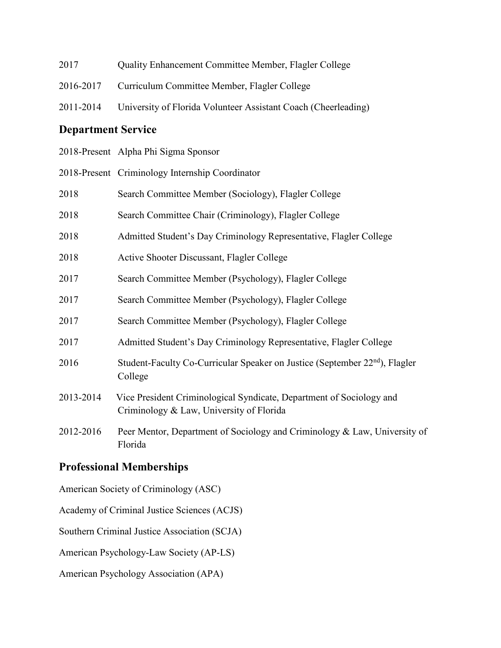| 2017      | <b>Quality Enhancement Committee Member, Flagler College</b>   |
|-----------|----------------------------------------------------------------|
| 2016-2017 | Curriculum Committee Member, Flagler College                   |
| 2011-2014 | University of Florida Volunteer Assistant Coach (Cheerleading) |

## **Department Service**

| 2018-Present Alpha Phi Sigma Sponsor |
|--------------------------------------|
|--------------------------------------|

|           | 2018-Present Criminology Internship Coordinator                                                                  |
|-----------|------------------------------------------------------------------------------------------------------------------|
| 2018      | Search Committee Member (Sociology), Flagler College                                                             |
| 2018      | Search Committee Chair (Criminology), Flagler College                                                            |
| 2018      | Admitted Student's Day Criminology Representative, Flagler College                                               |
| 2018      | Active Shooter Discussant, Flagler College                                                                       |
| 2017      | Search Committee Member (Psychology), Flagler College                                                            |
| 2017      | Search Committee Member (Psychology), Flagler College                                                            |
| 2017      | Search Committee Member (Psychology), Flagler College                                                            |
| 2017      | Admitted Student's Day Criminology Representative, Flagler College                                               |
| 2016      | Student-Faculty Co-Curricular Speaker on Justice (September 22 <sup>nd</sup> ), Flagler<br>College               |
| 2013-2014 | Vice President Criminological Syndicate, Department of Sociology and<br>Criminology & Law, University of Florida |
| 2012-2016 | Peer Mentor, Department of Sociology and Criminology & Law, University of<br>Florida                             |

## **Professional Memberships**

American Society of Criminology (ASC)

Academy of Criminal Justice Sciences (ACJS)

Southern Criminal Justice Association (SCJA)

American Psychology-Law Society (AP-LS)

American Psychology Association (APA)